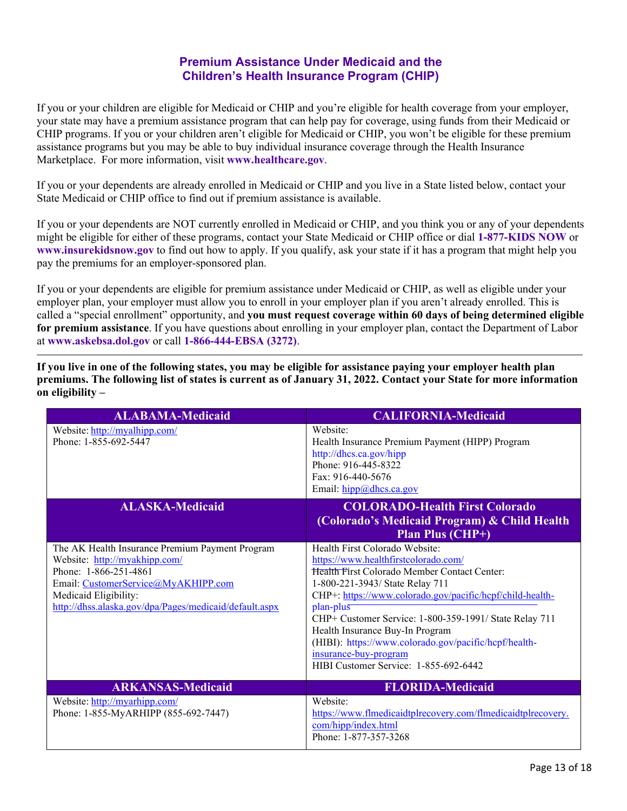## **Premium Assistance Under Medicaid and the Children's Health Insurance Program (CHIP)**

If you or your children are eligible for Medicaid or CHIP and you're eligible for health coverage from your employer, your state may have a premium assistance program that can help pay for coverage, using funds from their Medicaid or CHIP programs. If you or your children aren't eligible for Medicaid or CHIP, you won't be eligible for these premium assistance programs but you may be able to buy individual insurance coverage through the Health Insurance Marketplace. For more information, visit **[www.healthcare.gov](http://www.healthcare.gov/)**[.](http://www.healthcare.gov/)

If you or your dependents are already enrolled in Medicaid or CHIP and you live in a State listed below, contact your State Medicaid or CHIP office to find out if premium assistance is available.

If you or your dependents are NOT currently enrolled in Medicaid or CHIP, and you think you or any of your dependents might be eligible for either of these programs, contact your State Medicaid or CHIP office or dial **1-877-KIDS NOW** or **[www.insurekidsnow.gov](http://www.insurekidsnow.gov/)** to find out how to apply. If you qualify, ask your state if it has a program that might help you pay the premiums for an employer-sponsored plan.

If you or your dependents are eligible for premium assistance under Medicaid or CHIP, as well as eligible under your employer plan, your employer must allow you to enroll in your employer plan if you aren't already enrolled. This is called a "special enrollment" opportunity, and **you must request coverage within 60 days of being determined eligible for premium assistance**. If you have questions about enrolling in your employer plan, contact the Department of Labor at **[www.askebsa.dol.gov](http://www.askebsa.dol.gov/)** or call **1-866-444-EBSA (3272)**.

**If you live in one of the following states, you may be eligible for assistance paying your employer health plan premiums. The following list of states is current as of January 31, 2022. Contact your State for more information on eligibility –** 

| <b>ALABAMA-Medicaid</b>                                                                                                                                                                                                             | <b>CALIFORNIA-Medicaid</b>                                                                                                                                                                                                                                                                                                                                                                                                                                         |
|-------------------------------------------------------------------------------------------------------------------------------------------------------------------------------------------------------------------------------------|--------------------------------------------------------------------------------------------------------------------------------------------------------------------------------------------------------------------------------------------------------------------------------------------------------------------------------------------------------------------------------------------------------------------------------------------------------------------|
| Website: http://myalhipp.com/<br>Phone: 1-855-692-5447                                                                                                                                                                              | Website:<br>Health Insurance Premium Payment (HIPP) Program<br>http://dhcs.ca.gov/hipp<br>Phone: 916-445-8322<br>Fax: 916-440-5676<br>Email: hipp@dhcs.ca.gov                                                                                                                                                                                                                                                                                                      |
| <b>ALASKA-Medicaid</b>                                                                                                                                                                                                              | <b>COLORADO-Health First Colorado</b><br>(Colorado's Medicaid Program) & Child Health<br><b>Plan Plus (CHP+)</b>                                                                                                                                                                                                                                                                                                                                                   |
| The AK Health Insurance Premium Payment Program<br>Website: http://myakhipp.com/<br>Phone: 1-866-251-4861<br>Email: CustomerService@MyAKHIPP.com<br>Medicaid Eligibility:<br>http://dhss.alaska.gov/dpa/Pages/medicaid/default.aspx | Health First Colorado Website:<br>https://www.healthfirstcolorado.com/<br><b>Health First Colorado Member Contact Center:</b><br>1-800-221-3943/ State Relay 711<br>CHP+: https://www.colorado.gov/pacific/hcpf/child-health-<br>plan-plus<br>CHP+ Customer Service: 1-800-359-1991/ State Relay 711<br>Health Insurance Buy-In Program<br>(HIBI): https://www.colorado.gov/pacific/hcpf/health-<br>insurance-buy-program<br>HIBI Customer Service: 1-855-692-6442 |
| <b>ARKANSAS-Medicaid</b>                                                                                                                                                                                                            | <b>FLORIDA-Medicaid</b>                                                                                                                                                                                                                                                                                                                                                                                                                                            |
| Website: http://myarhipp.com/<br>Phone: 1-855-MyARHIPP (855-692-7447)                                                                                                                                                               | Website:<br>https://www.flmedicaidtplrecovery.com/flmedicaidtplrecovery.<br>com/hipp/index.html<br>Phone: 1-877-357-3268                                                                                                                                                                                                                                                                                                                                           |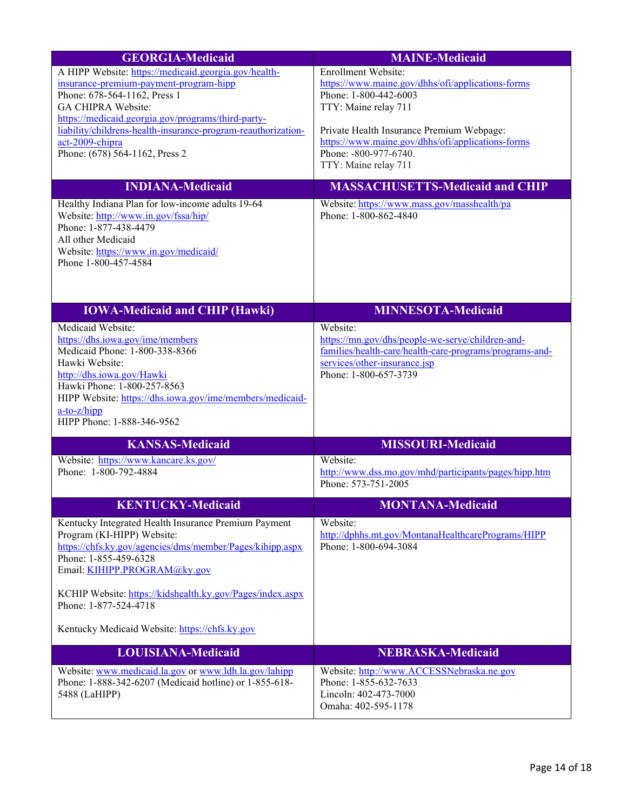| <b>GEORGIA-Medicaid</b>                                                                                                                                                                                                                                                                                                                                                                                                                                                                                                                                                 | <b>MAINE-Medicaid</b>                                                                                                                                                                                                                                                                                                                                                                          |
|-------------------------------------------------------------------------------------------------------------------------------------------------------------------------------------------------------------------------------------------------------------------------------------------------------------------------------------------------------------------------------------------------------------------------------------------------------------------------------------------------------------------------------------------------------------------------|------------------------------------------------------------------------------------------------------------------------------------------------------------------------------------------------------------------------------------------------------------------------------------------------------------------------------------------------------------------------------------------------|
| A HIPP Website: https://medicaid.georgia.gov/health-<br>insurance-premium-payment-program-hipp<br>Phone: 678-564-1162, Press 1<br>GA CHIPRA Website:<br>https://medicaid.georgia.gov/programs/third-party-<br>liability/childrens-health-insurance-program-reauthorization-<br>act-2009-chipra<br>Phone: (678) 564-1162, Press 2<br><b>INDIANA-Medicaid</b><br>Healthy Indiana Plan for low-income adults 19-64<br>Website: http://www.in.gov/fssa/hip/<br>Phone: 1-877-438-4479<br>All other Medicaid<br>Website: https://www.in.gov/medicaid/<br>Phone 1-800-457-4584 | Enrollment Website:<br>https://www.maine.gov/dhhs/ofi/applications-forms<br>Phone: 1-800-442-6003<br>TTY: Maine relay 711<br>Private Health Insurance Premium Webpage:<br>https://www.maine.gov/dhhs/ofi/applications-forms<br>Phone: -800-977-6740.<br>TTY: Maine relay 711<br><b>MASSACHUSETTS-Medicaid and CHIP</b><br>Website: https://www.mass.gov/masshealth/pa<br>Phone: 1-800-862-4840 |
| <b>IOWA-Medicaid and CHIP (Hawki)</b>                                                                                                                                                                                                                                                                                                                                                                                                                                                                                                                                   | <b>MINNESOTA-Medicaid</b>                                                                                                                                                                                                                                                                                                                                                                      |
| Medicaid Website:<br>https://dhs.iowa.gov/ime/members<br>Medicaid Phone: 1-800-338-8366<br>Hawki Website:<br>http://dhs.iowa.gov/Hawki<br>Hawki Phone: 1-800-257-8563<br>HIPP Website: https://dhs.iowa.gov/ime/members/medicaid-<br>a-to-z/hipp<br>HIPP Phone: 1-888-346-9562                                                                                                                                                                                                                                                                                          | Website:<br>https://mn.gov/dhs/people-we-serve/children-and-<br>families/health-care/health-care-programs/programs-and-<br>services/other-insurance.jsp<br>Phone: 1-800-657-3739                                                                                                                                                                                                               |
| <b>KANSAS-Medicaid</b>                                                                                                                                                                                                                                                                                                                                                                                                                                                                                                                                                  | <b>MISSOURI-Medicaid</b>                                                                                                                                                                                                                                                                                                                                                                       |
| Website: https://www.kancare.ks.gov/<br>Phone: 1-800-792-4884                                                                                                                                                                                                                                                                                                                                                                                                                                                                                                           | Website:<br>http://www.dss.mo.gov/mhd/participants/pages/hipp.htm<br>Phone: 573-751-2005                                                                                                                                                                                                                                                                                                       |
| <b>KENTUCKY-Medicaid</b>                                                                                                                                                                                                                                                                                                                                                                                                                                                                                                                                                | <b>MONTANA-Medicaid</b>                                                                                                                                                                                                                                                                                                                                                                        |
| Kentucky Integrated Health Insurance Premium Payment<br>Program (KI-HIPP) Website:<br>https://chfs.ky.gov/agencies/dms/member/Pages/kihipp.aspx<br>Phone: 1-855-459-6328<br>Email: KIHIPP.PROGRAM@ky.gov<br>KCHIP Website: https://kidshealth.ky.gov/Pages/index.aspx<br>Phone: 1-877-524-4718<br>Kentucky Medicaid Website: https://chfs.ky.gov                                                                                                                                                                                                                        | Website:<br>http://dphhs.mt.gov/MontanaHealthcarePrograms/HIPP<br>Phone: 1-800-694-3084                                                                                                                                                                                                                                                                                                        |
| <b>LOUISIANA-Medicaid</b>                                                                                                                                                                                                                                                                                                                                                                                                                                                                                                                                               | <b>NEBRASKA-Medicaid</b>                                                                                                                                                                                                                                                                                                                                                                       |
| Website: www.medicaid.la.gov or www.ldh.la.gov/lahipp<br>Phone: 1-888-342-6207 (Medicaid hotline) or 1-855-618-<br>5488 (LaHIPP)                                                                                                                                                                                                                                                                                                                                                                                                                                        | Website: http://www.ACCESSNebraska.ne.gov<br>Phone: 1-855-632-7633<br>Lincoln: 402-473-7000<br>Omaha: 402-595-1178                                                                                                                                                                                                                                                                             |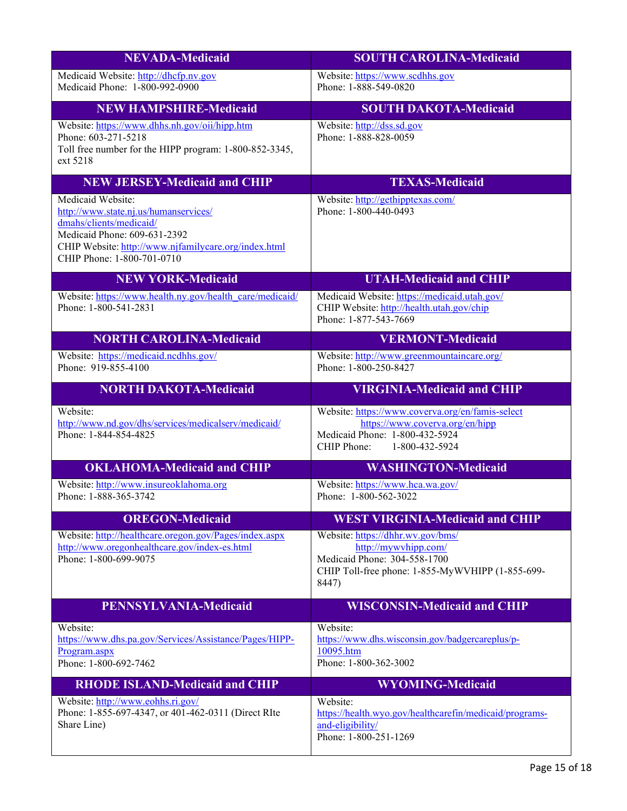| <b>NEVADA-Medicaid</b>                                                                                                                                                                                      | <b>SOUTH CAROLINA-Medicaid</b>                                                                                                                         |
|-------------------------------------------------------------------------------------------------------------------------------------------------------------------------------------------------------------|--------------------------------------------------------------------------------------------------------------------------------------------------------|
| Medicaid Website: http://dhcfp.nv.gov<br>Medicaid Phone: 1-800-992-0900                                                                                                                                     | Website: https://www.scdhhs.gov<br>Phone: 1-888-549-0820                                                                                               |
| <b>NEW HAMPSHIRE-Medicaid</b>                                                                                                                                                                               | <b>SOUTH DAKOTA-Medicaid</b>                                                                                                                           |
| Website: https://www.dhhs.nh.gov/oii/hipp.htm<br>Phone: 603-271-5218<br>Toll free number for the HIPP program: 1-800-852-3345,<br>ext 5218                                                                  | Website: http://dss.sd.gov<br>Phone: 1-888-828-0059                                                                                                    |
| <b>NEW JERSEY-Medicaid and CHIP</b>                                                                                                                                                                         | <b>TEXAS-Medicaid</b>                                                                                                                                  |
| Medicaid Website:<br>http://www.state.nj.us/humanservices/<br>dmahs/clients/medicaid/<br>Medicaid Phone: 609-631-2392<br>CHIP Website: http://www.njfamilycare.org/index.html<br>CHIP Phone: 1-800-701-0710 | Website: http://gethipptexas.com/<br>Phone: 1-800-440-0493                                                                                             |
| <b>NEW YORK-Medicaid</b>                                                                                                                                                                                    | <b>UTAH-Medicaid and CHIP</b>                                                                                                                          |
| Website: https://www.health.ny.gov/health_care/medicaid/<br>Phone: 1-800-541-2831                                                                                                                           | Medicaid Website: https://medicaid.utah.gov/<br>CHIP Website: http://health.utah.gov/chip<br>Phone: 1-877-543-7669                                     |
| <b>NORTH CAROLINA-Medicaid</b>                                                                                                                                                                              | <b>VERMONT-Medicaid</b>                                                                                                                                |
| Website: https://medicaid.ncdhhs.gov/<br>Phone: 919-855-4100                                                                                                                                                | Website: http://www.greenmountaincare.org/<br>Phone: 1-800-250-8427                                                                                    |
| <b>NORTH DAKOTA-Medicaid</b>                                                                                                                                                                                | <b>VIRGINIA-Medicaid and CHIP</b>                                                                                                                      |
| Website:<br>http://www.nd.gov/dhs/services/medicalserv/medicaid/<br>Phone: 1-844-854-4825                                                                                                                   | Website: https://www.coverva.org/en/famis-select<br>https://www.coverva.org/en/hipp<br>Medicaid Phone: 1-800-432-5924<br>CHIP Phone:<br>1-800-432-5924 |
| <b>OKLAHOMA-Medicaid and CHIP</b>                                                                                                                                                                           | <b>WASHINGTON-Medicaid</b>                                                                                                                             |
| Website: http://www.insureoklahoma.org<br>Phone: 1-888-365-3742                                                                                                                                             | Website: https://www.hca.wa.gov/<br>Phone: 1-800-562-3022                                                                                              |
| <b>OREGON-Medicaid</b>                                                                                                                                                                                      | <b>WEST VIRGINIA-Medicaid and CHIP</b>                                                                                                                 |
| Website: http://healthcare.orgon.gov/Pages/index.aspx<br>http://www.oregonhealthcare.gov/index-es.html<br>Phone: 1-800-699-9075                                                                             | Website: https://dhhr.wv.gov/bms/<br>http://mywvhipp.com/<br>Medicaid Phone: 304-558-1700<br>CHIP Toll-free phone: 1-855-MyWVHIPP (1-855-699-<br>8447) |
| <b>PENNSYLVANIA-Medicaid</b>                                                                                                                                                                                | <b>WISCONSIN-Medicaid and CHIP</b>                                                                                                                     |
| Website:<br>https://www.dhs.pa.gov/Services/Assistance/Pages/HIPP-<br>Program.aspx<br>Phone: 1-800-692-7462                                                                                                 | Website:<br>https://www.dhs.wisconsin.gov/badgercareplus/p-<br>10095.htm<br>Phone: 1-800-362-3002                                                      |
| <b>RHODE ISLAND-Medicaid and CHIP</b>                                                                                                                                                                       | <b>WYOMING-Medicaid</b>                                                                                                                                |
| Website: http://www.eohhs.ri.gov/<br>Phone: 1-855-697-4347, or 401-462-0311 (Direct RIte<br>Share Line)                                                                                                     | Website:<br>https://health.wyo.gov/healthcarefin/medicaid/programs-<br>and-eligibility/<br>Phone: 1-800-251-1269                                       |